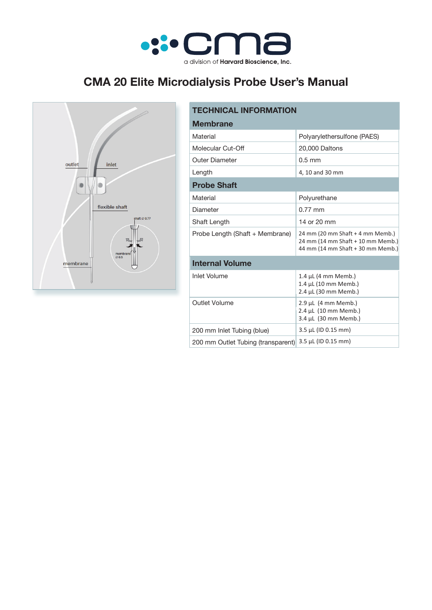

# **CMA 20 Elite Microdialysis Probe User's Manual**



# **TECHNICAL INFORMATION**

| <b>Membrane</b>                    |                                                                                                            |  |  |
|------------------------------------|------------------------------------------------------------------------------------------------------------|--|--|
| Material                           | Polyarylethersulfone (PAES)                                                                                |  |  |
| Molecular Cut-Off                  | 20,000 Daltons                                                                                             |  |  |
| Outer Diameter                     | $0.5$ mm                                                                                                   |  |  |
| Length                             | 4, 10 and 30 mm                                                                                            |  |  |
| <b>Probe Shaft</b>                 |                                                                                                            |  |  |
| Material                           | Polyurethane                                                                                               |  |  |
| Diameter                           | $0.77$ mm                                                                                                  |  |  |
| Shaft Length                       | 14 or 20 mm                                                                                                |  |  |
| Probe Length (Shaft + Membrane)    | 24 mm (20 mm Shaft + 4 mm Memb.)<br>24 mm (14 mm Shaft + 10 mm Memb.)<br>44 mm (14 mm Shaft + 30 mm Memb.) |  |  |
| <b>Internal Volume</b>             |                                                                                                            |  |  |
| <b>Inlet Volume</b>                | 1.4 µL (4 mm Memb.)<br>1.4 µL (10 mm Memb.)<br>2.4 µL (30 mm Memb.)                                        |  |  |
| Outlet Volume                      | $2.9$ µL (4 mm Memb.)<br>2.4 µL (10 mm Memb.)<br>3.4 µL (30 mm Memb.)                                      |  |  |
| 200 mm Inlet Tubing (blue)         | 3.5 µL (ID 0.15 mm)                                                                                        |  |  |
| 200 mm Outlet Tubing (transparent) | 3.5 µL (ID 0.15 mm)                                                                                        |  |  |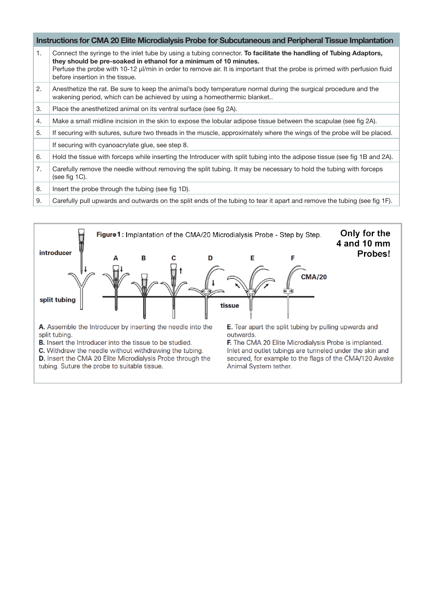| Instructions for CMA 20 Elite Microdialysis Probe for Subcutaneous and Peripheral Tissue Implantation |                                                                                                                                                                                                                                                                                                                                                        |  |
|-------------------------------------------------------------------------------------------------------|--------------------------------------------------------------------------------------------------------------------------------------------------------------------------------------------------------------------------------------------------------------------------------------------------------------------------------------------------------|--|
| 1.                                                                                                    | Connect the syringe to the inlet tube by using a tubing connector. To facilitate the handling of Tubing Adaptors,<br>they should be pre-soaked in ethanol for a minimum of 10 minutes.<br>Perfuse the probe with 10-12 µl/min in order to remove air. It is important that the probe is primed with perfusion fluid<br>before insertion in the tissue. |  |
| 2.                                                                                                    | Anesthetize the rat. Be sure to keep the animal's body temperature normal during the surgical procedure and the<br>wakening period, which can be achieved by using a homeothermic blanket                                                                                                                                                              |  |
| 3.                                                                                                    | Place the anesthetized animal on its ventral surface (see fig 2A).                                                                                                                                                                                                                                                                                     |  |
| 4.                                                                                                    | Make a small midline incision in the skin to expose the lobular adipose tissue between the scapulae (see fig 2A).                                                                                                                                                                                                                                      |  |
| 5.                                                                                                    | If securing with sutures, suture two threads in the muscle, approximately where the wings of the probe will be placed.                                                                                                                                                                                                                                 |  |
|                                                                                                       | If securing with cyanoacrylate glue, see step 8.                                                                                                                                                                                                                                                                                                       |  |
| 6.                                                                                                    | Hold the tissue with forceps while inserting the Introducer with split tubing into the adipose tissue (see fig 1B and 2A).                                                                                                                                                                                                                             |  |
| 7.                                                                                                    | Carefully remove the needle without removing the split tubing. It may be necessary to hold the tubing with forceps<br>(see fig $1C$ ).                                                                                                                                                                                                                 |  |
| 8.                                                                                                    | Insert the probe through the tubing (see fig 1D).                                                                                                                                                                                                                                                                                                      |  |
| 9.                                                                                                    | Carefully pull upwards and outwards on the split ends of the tubing to tear it apart and remove the tubing (see fig 1F).                                                                                                                                                                                                                               |  |



B. Insert the Introducer into the tissue to be studied.

C. Withdraw the needle without withdrawing the tubing.

D. Insert the CMA 20 Elite Microdialysis Probe through the tubing. Suture the probe to suitable tissue.

F. The CMA 20 Elite Microdialysis Probe is implanted. Inlet and outlet tubings are tunneled under the skin and secured, for example to the flags of the CMA/120 Awake Animal System tether.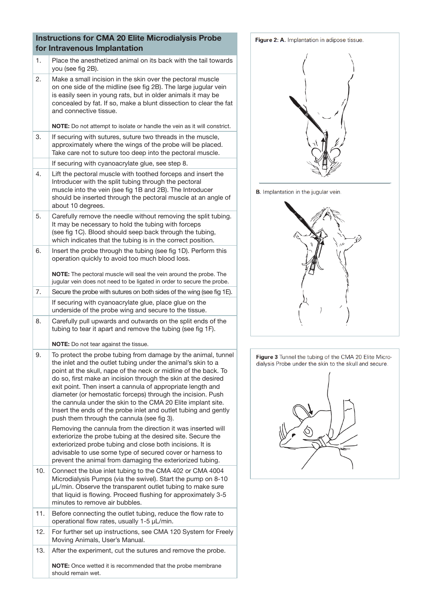## **Instructions for CMA 20 Elite Microdialysis Probe for Intravenous Implantation**

| 1.  | Place the anesthetized animal on its back with the tail towards<br>you (see fig 2B).                                                                                                                                                                                                                                                                                                                                                                                                                                                                                                                                                                                                                                                                                                                                                       |
|-----|--------------------------------------------------------------------------------------------------------------------------------------------------------------------------------------------------------------------------------------------------------------------------------------------------------------------------------------------------------------------------------------------------------------------------------------------------------------------------------------------------------------------------------------------------------------------------------------------------------------------------------------------------------------------------------------------------------------------------------------------------------------------------------------------------------------------------------------------|
| 2.  | Make a small incision in the skin over the pectoral muscle<br>on one side of the midline (see fig 2B). The large jugular vein<br>is easily seen in young rats, but in older animals it may be<br>concealed by fat. If so, make a blunt dissection to clear the fat<br>and connective tissue.                                                                                                                                                                                                                                                                                                                                                                                                                                                                                                                                               |
|     | NOTE: Do not attempt to isolate or handle the vein as it will constrict.                                                                                                                                                                                                                                                                                                                                                                                                                                                                                                                                                                                                                                                                                                                                                                   |
| 3.  | If securing with sutures, suture two threads in the muscle,<br>approximately where the wings of the probe will be placed.<br>Take care not to suture too deep into the pectoral muscle.                                                                                                                                                                                                                                                                                                                                                                                                                                                                                                                                                                                                                                                    |
|     | If securing with cyanoacrylate glue, see step 8.                                                                                                                                                                                                                                                                                                                                                                                                                                                                                                                                                                                                                                                                                                                                                                                           |
| 4.  | Lift the pectoral muscle with toothed forceps and insert the<br>Introducer with the split tubing through the pectoral<br>muscle into the vein (see fig 1B and 2B). The Introducer<br>should be inserted through the pectoral muscle at an angle of<br>about 10 degrees.                                                                                                                                                                                                                                                                                                                                                                                                                                                                                                                                                                    |
| 5.  | Carefully remove the needle without removing the split tubing.<br>It may be necessary to hold the tubing with forceps<br>(see fig 1C). Blood should seep back through the tubing,<br>which indicates that the tubing is in the correct position.                                                                                                                                                                                                                                                                                                                                                                                                                                                                                                                                                                                           |
| 6.  | Insert the probe through the tubing (see fig 1D). Perform this<br>operation quickly to avoid too much blood loss.                                                                                                                                                                                                                                                                                                                                                                                                                                                                                                                                                                                                                                                                                                                          |
|     | NOTE: The pectoral muscle will seal the vein around the probe. The<br>jugular vein does not need to be ligated in order to secure the probe.                                                                                                                                                                                                                                                                                                                                                                                                                                                                                                                                                                                                                                                                                               |
| 7.  | Secure the probe with sutures on both sides of the wing (see fig 1E).                                                                                                                                                                                                                                                                                                                                                                                                                                                                                                                                                                                                                                                                                                                                                                      |
|     | If securing with cyanoacrylate glue, place glue on the<br>underside of the probe wing and secure to the tissue.                                                                                                                                                                                                                                                                                                                                                                                                                                                                                                                                                                                                                                                                                                                            |
| 8.  | Carefully pull upwards and outwards on the split ends of the<br>tubing to tear it apart and remove the tubing (see fig 1F).                                                                                                                                                                                                                                                                                                                                                                                                                                                                                                                                                                                                                                                                                                                |
|     | NOTE: Do not tear against the tissue.                                                                                                                                                                                                                                                                                                                                                                                                                                                                                                                                                                                                                                                                                                                                                                                                      |
| 9.  | To protect the probe tubing from damage by the animal, tunnel<br>the inlet and the outlet tubing under the animal's skin to a<br>point at the skull, nape of the neck or midline of the back. To<br>do so, first make an incision through the skin at the desired<br>exit point. Then insert a cannula of appropriate length and<br>diameter (or hemostatic forceps) through the incision. Push<br>the cannula under the skin to the CMA 20 Elite implant site.<br>Insert the ends of the probe inlet and outlet tubing and gently<br>push them through the cannula (see fig 3).<br>Removing the cannula from the direction it was inserted will<br>exteriorize the probe tubing at the desired site. Secure the<br>exteriorized probe tubing and close both incisions. It is<br>advisable to use some type of secured cover or harness to |
|     | prevent the animal from damaging the exteriorized tubing.                                                                                                                                                                                                                                                                                                                                                                                                                                                                                                                                                                                                                                                                                                                                                                                  |
| 10. | Connect the blue inlet tubing to the CMA 402 or CMA 4004<br>Microdialysis Pumps (via the swivel). Start the pump on 8-10<br>µL/min. Observe the transparent outlet tubing to make sure<br>that liquid is flowing. Proceed flushing for approximately 3-5<br>minutes to remove air bubbles.                                                                                                                                                                                                                                                                                                                                                                                                                                                                                                                                                 |
| 11. | Before connecting the outlet tubing, reduce the flow rate to<br>operational flow rates, usually 1-5 µL/min.                                                                                                                                                                                                                                                                                                                                                                                                                                                                                                                                                                                                                                                                                                                                |
| 12. | For further set up instructions, see CMA 120 System for Freely<br>Moving Animals, User's Manual.                                                                                                                                                                                                                                                                                                                                                                                                                                                                                                                                                                                                                                                                                                                                           |
| 13. | After the experiment, cut the sutures and remove the probe.                                                                                                                                                                                                                                                                                                                                                                                                                                                                                                                                                                                                                                                                                                                                                                                |
|     |                                                                                                                                                                                                                                                                                                                                                                                                                                                                                                                                                                                                                                                                                                                                                                                                                                            |

**NOTE:** Once wetted it is recommended that the probe membrane should remain wet.

#### Figure 2: A. Implantation in adipose tissue.







Figure 3 Tunnel the tubing of the CMA 20 Elite Micro-<br>dialysis Probe under the skin to the skull and secure.